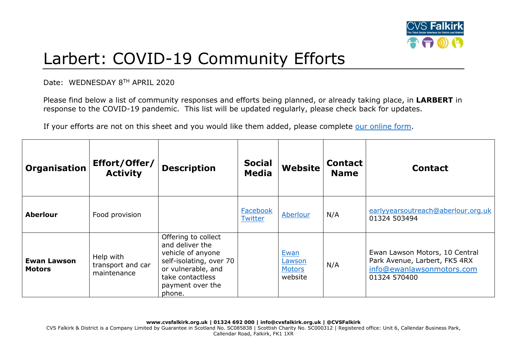

## Larbert: COVID-19 Community Efforts

Date: WEDNESDAY 8TH APRIL 2020

Please find below a list of community responses and efforts being planned, or already taking place, in **LARBERT** in response to the COVID-19 pandemic. This list will be updated regularly, please check back for updates.

If your efforts are not on this sheet and you would like them added, please complete [our online form.](https://forms.office.com/Pages/ResponsePage.aspx?id=6VEZaLCW4EefTnjqs1GaupRwm5MIeS1HoQIx_4VQsBJUODFFNjQ4S0YzN0tIODdPOUJWTTJFNkg2QS4u)

| Organisation                        | Effort/Offer/<br><b>Activity</b>              | <b>Description</b>                                                                                                                                             | <b>Social</b><br><b>Media</b> | Website                                    | <b>Contact</b><br><b>Name</b> | <b>Contact</b>                                                                                               |
|-------------------------------------|-----------------------------------------------|----------------------------------------------------------------------------------------------------------------------------------------------------------------|-------------------------------|--------------------------------------------|-------------------------------|--------------------------------------------------------------------------------------------------------------|
| <b>Aberlour</b>                     | Food provision                                |                                                                                                                                                                | Facebook<br>Twitter           | Aberlour                                   | N/A                           | earlyyearsoutreach@aberlour.org.uk<br>01324 503494                                                           |
| <b>Ewan Lawson</b><br><b>Motors</b> | Help with<br>transport and car<br>maintenance | Offering to collect<br>and deliver the<br>vehicle of anyone<br>self-isolating, over 70<br>or vulnerable, and<br>take contactless<br>payment over the<br>phone. |                               | Ewan<br>Lawson<br><b>Motors</b><br>website | N/A                           | Ewan Lawson Motors, 10 Central<br>Park Avenue, Larbert, FK5 4RX<br>info@ewanlawsonmotors.com<br>01324 570400 |